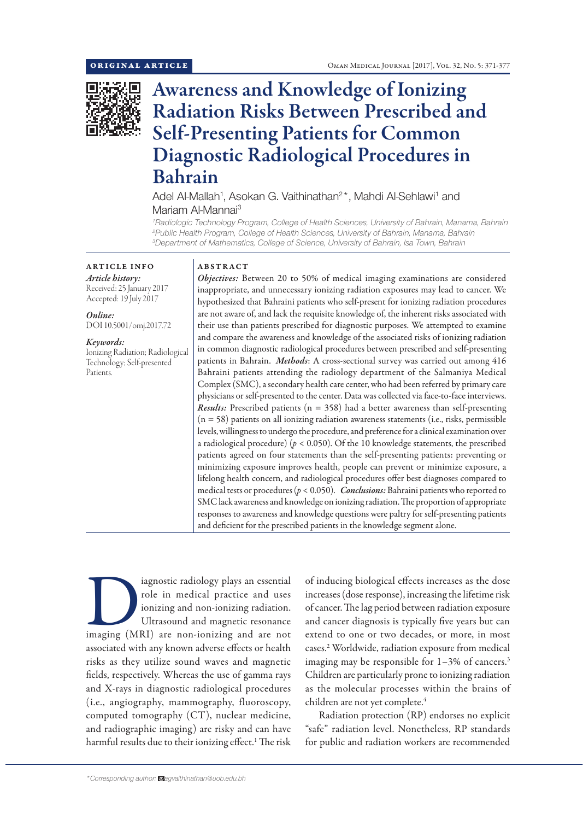

# Awareness and Knowledge of Ionizing Radiation Risks Between Prescribed and Self-Presenting Patients for Common Diagnostic Radiological Procedures in Bahrain

Adel Al-Mallah<sup>1</sup>, Asokan G. Vaithinathan<sup>2\*</sup>, Mahdi Al-Sehlawi<sup>1</sup> and Mariam Al-Mannai<sup>3</sup>

*1 Radiologic Technology Program, College of Health Sciences, University of Bahrain, Manama, Bahrain 2 Public Health Program, College of Health Sciences, University of Bahrain, Manama, Bahrain 3 Department of Mathematics, College of Science, University of Bahrain, Isa Town, Bahrain*

ARTICLE INFO *Article history:* Received: 25 January 2017 Accepted: 19 July 2017

*Online:* DOI 10.5001/omj.2017.72

*Keywords:*  Ionizing Radiation; Radiological Technology; Self-presented Patients.

# ABSTRACT

*Objectives:* Between 20 to 50% of medical imaging examinations are considered inappropriate, and unnecessary ionizing radiation exposures may lead to cancer. We hypothesized that Bahraini patients who self-present for ionizing radiation procedures are not aware of, and lack the requisite knowledge of, the inherent risks associated with their use than patients prescribed for diagnostic purposes. We attempted to examine and compare the awareness and knowledge of the associated risks of ionizing radiation in common diagnostic radiological procedures between prescribed and self-presenting patients in Bahrain. *Methods*: A cross-sectional survey was carried out among 416 Bahraini patients attending the radiology department of the Salmaniya Medical Complex (SMC), a secondary health care center, who had been referred by primary care physicians or self-presented to the center. Data was collected via face-to-face interviews. *Results:* Prescribed patients (n = 358) had a better awareness than self-presenting  $(n = 58)$  patients on all ionizing radiation awareness statements (i.e., risks, permissible levels, willingness to undergo the procedure, and preference for a clinical examination over a radiological procedure)  $(p < 0.050)$ . Of the 10 knowledge statements, the prescribed patients agreed on four statements than the self-presenting patients: preventing or minimizing exposure improves health, people can prevent or minimize exposure, a lifelong health concern, and radiological procedures offer best diagnoses compared to medical tests or procedures (*p* < 0.050). *Conclusions:* Bahraini patients who reported to SMC lack awareness and knowledge on ionizing radiation. The proportion of appropriate responses to awareness and knowledge questions were paltry for self-presenting patients and deficient for the prescribed patients in the knowledge segment alone.

iagnostic radiology plays an essential<br>
role in medical practice and uses<br>
ionizing and non-ionizing radiation.<br>
Ultrasound and magnetic resonance<br>
imaging (MRI) are non-ionizing and are not role in medical practice and uses ionizing and non-ionizing radiation. Ultrasound and magnetic resonance associated with any known adverse effects or health risks as they utilize sound waves and magnetic fields, respectively. Whereas the use of gamma rays and X-rays in diagnostic radiological procedures (i.e., angiography, mammography, fluoroscopy, computed tomography (CT), nuclear medicine, and radiographic imaging) are risky and can have harmful results due to their ionizing effect.<sup>1</sup> The risk

of inducing biological effects increases as the dose increases (dose response), increasing the lifetime risk of cancer. The lag period between radiation exposure and cancer diagnosis is typically five years but can extend to one or two decades, or more, in most cases.2 Worldwide, radiation exposure from medical imaging may be responsible for 1–3% of cancers.3 Children are particularly prone to ionizing radiation as the molecular processes within the brains of children are not yet complete.<sup>4</sup>

Radiation protection (RP) endorses no explicit "safe" radiation level. Nonetheless, RP standards for public and radiation workers are recommended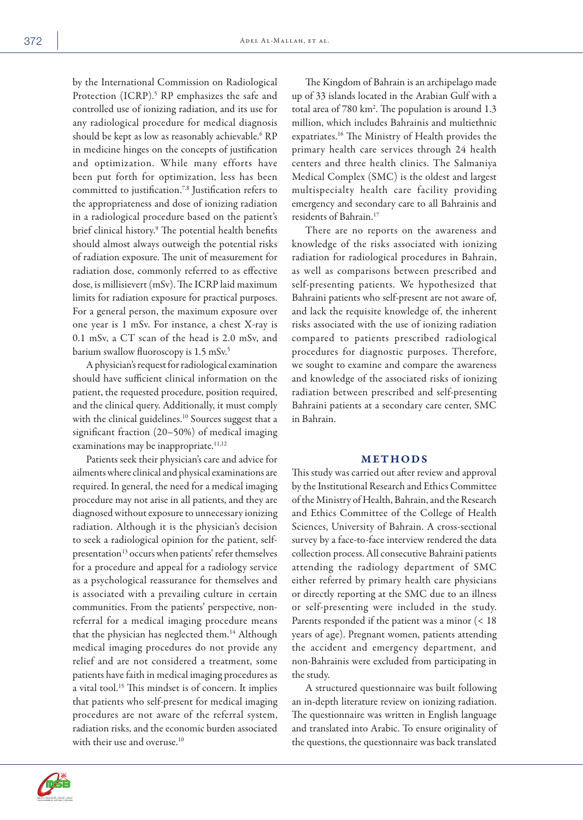by the International Commission on Radiological Protection (ICRP).<sup>5</sup> RP emphasizes the safe and controlled use of ionizing radiation, and its use for any radiological procedure for medical diagnosis should be kept as low as reasonably achievable.6 RP in medicine hinges on the concepts of justification and optimization. While many efforts have been put forth for optimization, less has been committed to justification.7,8 Justification refers to the appropriateness and dose of ionizing radiation in a radiological procedure based on the patient's brief clinical history.9 The potential health benefits should almost always outweigh the potential risks of radiation exposure. The unit of measurement for radiation dose, commonly referred to as effective dose, is millisievert (mSv). The ICRP laid maximum limits for radiation exposure for practical purposes. For a general person, the maximum exposure over one year is 1 mSv. For instance, a chest X-ray is 0.1 mSv, a CT scan of the head is 2.0 mSv, and barium swallow fluoroscopy is 1.5 mSv.<sup>5</sup>

A physician's request for radiological examination should have sufficient clinical information on the patient, the requested procedure, position required, and the clinical query. Additionally, it must comply with the clinical guidelines.<sup>10</sup> Sources suggest that a significant fraction (20–50%) of medical imaging examinations may be inappropriate.<sup>11,12</sup>

Patients seek their physician's care and advice for ailments where clinical and physical examinations are required. In general, the need for a medical imaging procedure may not arise in all patients, and they are diagnosed without exposure to unnecessary ionizing radiation. Although it is the physician's decision to seek a radiological opinion for the patient, selfpresentation<sup>13</sup> occurs when patients' refer themselves for a procedure and appeal for a radiology service as a psychological reassurance for themselves and is associated with a prevailing culture in certain communities. From the patients' perspective, nonreferral for a medical imaging procedure means that the physician has neglected them.<sup>14</sup> Although medical imaging procedures do not provide any relief and are not considered a treatment, some patients have faith in medical imaging procedures as a vital tool.15 This mindset is of concern. It implies that patients who self-present for medical imaging procedures are not aware of the referral system, radiation risks, and the economic burden associated with their use and overuse.<sup>10</sup>

The Kingdom of Bahrain is an archipelago made up of 33 islands located in the Arabian Gulf with a total area of 780 km2 . The population is around 1.3 million, which includes Bahrainis and multiethnic expatriates.16 The Ministry of Health provides the primary health care services through 24 health centers and three health clinics. The Salmaniya Medical Complex (SMC) is the oldest and largest multispecialty health care facility providing emergency and secondary care to all Bahrainis and residents of Bahrain.<sup>17</sup>

There are no reports on the awareness and knowledge of the risks associated with ionizing radiation for radiological procedures in Bahrain, as well as comparisons between prescribed and self-presenting patients. We hypothesized that Bahraini patients who self-present are not aware of, and lack the requisite knowledge of, the inherent risks associated with the use of ionizing radiation compared to patients prescribed radiological procedures for diagnostic purposes. Therefore, we sought to examine and compare the awareness and knowledge of the associated risks of ionizing radiation between prescribed and self-presenting Bahraini patients at a secondary care center, SMC in Bahrain.

# METHODS

This study was carried out after review and approval by the Institutional Research and Ethics Committee of the Ministry of Health, Bahrain, and the Research and Ethics Committee of the College of Health Sciences, University of Bahrain. A cross-sectional survey by a face-to-face interview rendered the data collection process. All consecutive Bahraini patients attending the radiology department of SMC either referred by primary health care physicians or directly reporting at the SMC due to an illness or self-presenting were included in the study. Parents responded if the patient was a minor (< 18 years of age). Pregnant women, patients attending the accident and emergency department, and non-Bahrainis were excluded from participating in the study.

A structured questionnaire was built following an in-depth literature review on ionizing radiation. The questionnaire was written in English language and translated into Arabic. To ensure originality of the questions, the questionnaire was back translated

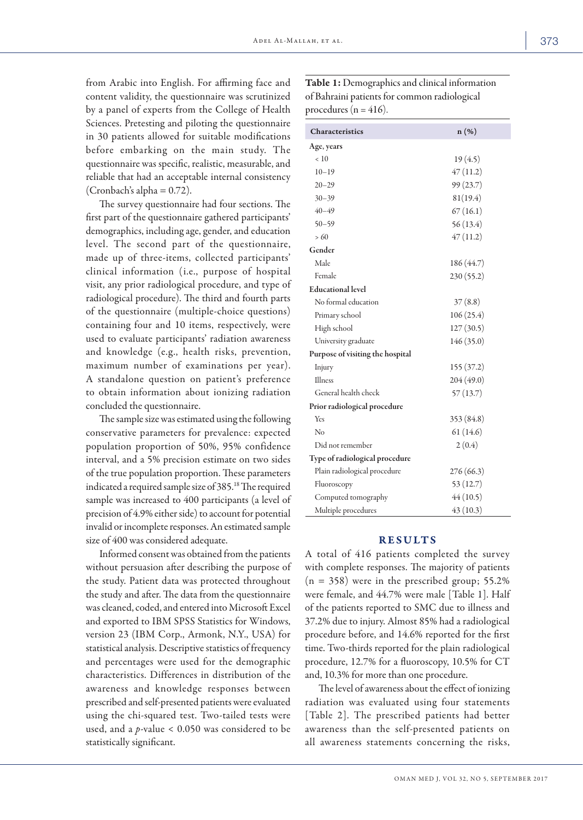from Arabic into English. For affirming face and content validity, the questionnaire was scrutinized by a panel of experts from the College of Health Sciences. Pretesting and piloting the questionnaire in 30 patients allowed for suitable modifications before embarking on the main study. The questionnaire was specific, realistic, measurable, and reliable that had an acceptable internal consistency (Cronbach's alpha  $= 0.72$ ).

The survey questionnaire had four sections. The first part of the questionnaire gathered participants' demographics, including age, gender, and education level. The second part of the questionnaire, made up of three-items, collected participants' clinical information (i.e., purpose of hospital visit, any prior radiological procedure, and type of radiological procedure). The third and fourth parts of the questionnaire (multiple-choice questions) containing four and 10 items, respectively, were used to evaluate participants' radiation awareness and knowledge (e.g., health risks, prevention, maximum number of examinations per year). A standalone question on patient's preference to obtain information about ionizing radiation concluded the questionnaire.

The sample size was estimated using the following conservative parameters for prevalence: expected population proportion of 50%, 95% confidence interval, and a 5% precision estimate on two sides of the true population proportion. These parameters indicated a required sample size of 385.<sup>18</sup> The required sample was increased to 400 participants (a level of precision of 4.9% either side) to account for potential invalid or incomplete responses. An estimated sample size of 400 was considered adequate.

Informed consent was obtained from the patients without persuasion after describing the purpose of the study. Patient data was protected throughout the study and after. The data from the questionnaire was cleaned, coded, and entered into Microsoft Excel and exported to IBM SPSS Statistics for Windows, version 23 (IBM Corp., Armonk, N.Y., USA) for statistical analysis. Descriptive statistics of frequency and percentages were used for the demographic characteristics. Differences in distribution of the awareness and knowledge responses between prescribed and self-presented patients were evaluated using the chi-squared test. Two-tailed tests were used, and a *p*-value < 0.050 was considered to be statistically significant.

Table 1: Demographics and clinical information of Bahraini patients for common radiological procedures ( $n = 416$ ).

| <b>Characteristics</b>           | $n(\%)$    |
|----------------------------------|------------|
| Age, years                       |            |
| < 10                             | 19(4.5)    |
| $10 - 19$                        | 47(11.2)   |
| $20 - 29$                        | 99(23.7)   |
| $30 - 39$                        | 81(19.4)   |
| $40 - 49$                        | 67(16.1)   |
| $50 - 59$                        | 56 (13.4)  |
| > 60                             | 47(11.2)   |
| Gender                           |            |
| Male                             | 186 (44.7) |
| Female                           | 230(55.2)  |
| <b>Educational level</b>         |            |
| No formal education              | 37(8.8)    |
| Primary school                   | 106(25.4)  |
| High school                      | 127 (30.5) |
| University graduate              | 146 (35.0) |
| Purpose of visiting the hospital |            |
| Injury                           | 155 (37.2) |
| Illness                          | 204 (49.0) |
| General health check             | 57(13.7)   |
| Prior radiological procedure     |            |
| Yes                              | 353 (84.8) |
| No                               | 61(14.6)   |
| Did not remember                 | 2(0.4)     |
| Type of radiological procedure   |            |
| Plain radiological procedure     | 276(66.3)  |
| Fluoroscopy                      | 53 (12.7)  |
| Computed tomography              | 44(10.5)   |
| Multiple procedures              | 43(10.3)   |

## RESULTS

A total of 416 patients completed the survey with complete responses. The majority of patients  $(n = 358)$  were in the prescribed group; 55.2% were female, and 44.7% were male [Table 1]. Half of the patients reported to SMC due to illness and 37.2% due to injury. Almost 85% had a radiological procedure before, and 14.6% reported for the first time. Two-thirds reported for the plain radiological procedure, 12.7% for a fluoroscopy, 10.5% for CT and, 10.3% for more than one procedure.

The level of awareness about the effect of ionizing radiation was evaluated using four statements [Table 2]. The prescribed patients had better awareness than the self-presented patients on all awareness statements concerning the risks,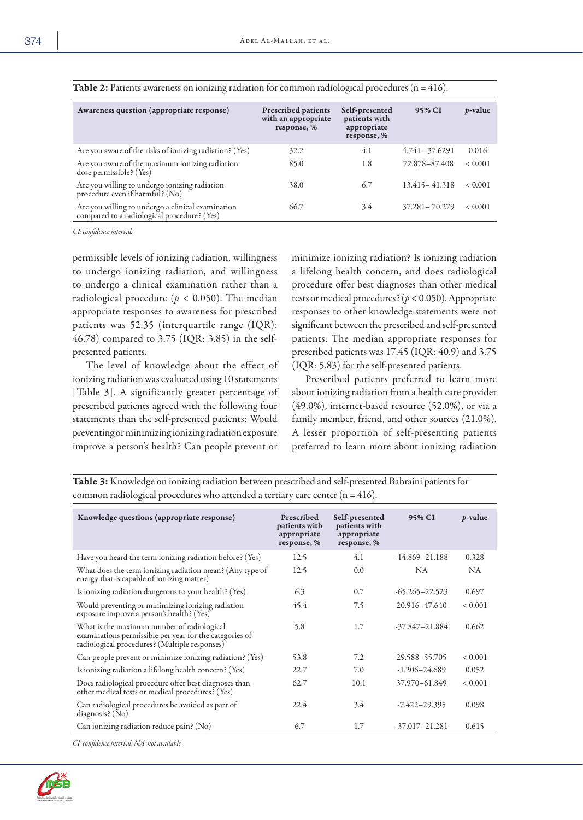| Awareness question (appropriate response)                                                        | <b>Prescribed patients</b><br>with an appropriate<br>response, % | Self-presented<br>patients with<br>appropriate<br>response, % | 95% CI            | $p$ -value  |
|--------------------------------------------------------------------------------------------------|------------------------------------------------------------------|---------------------------------------------------------------|-------------------|-------------|
| Are you aware of the risks of ionizing radiation? (Yes)                                          | 32.2                                                             | 4.1                                                           | $4.741 - 37.6291$ | 0.016       |
| Are you aware of the maximum ionizing radiation<br>dose permissible? (Yes)                       | 85.0                                                             | 1.8                                                           | 72.878-87.408     | < 0.001     |
| Are you willing to undergo ionizing radiation<br>procedure even if harmful? (No)                 | 38.0                                                             | 6.7                                                           | 13.415 - 41.318   | < 0.001     |
| Are you willing to undergo a clinical examination<br>compared to a radiological procedure? (Yes) | 66.7                                                             | 3.4                                                           | $37.281 - 70.279$ | ${}< 0.001$ |
|                                                                                                  |                                                                  |                                                               |                   |             |

**Table 2:** Patients awareness on ionizing radiation for common radiological procedures  $(n = 416)$ .

*CI: confidence interval.*

permissible levels of ionizing radiation, willingness to undergo ionizing radiation, and willingness to undergo a clinical examination rather than a radiological procedure ( $p < 0.050$ ). The median appropriate responses to awareness for prescribed patients was 52.35 (interquartile range (IQR): 46.78) compared to 3.75 (IQR: 3.85) in the selfpresented patients.

The level of knowledge about the effect of ionizing radiation was evaluated using 10 statements [Table 3]. A significantly greater percentage of prescribed patients agreed with the following four statements than the self-presented patients: Would preventing or minimizing ionizing radiation exposure improve a person's health? Can people prevent or

minimize ionizing radiation? Is ionizing radiation a lifelong health concern, and does radiological procedure offer best diagnoses than other medical tests or medical procedures? (*p* < 0.050). Appropriate responses to other knowledge statements were not significant between the prescribed and self-presented patients. The median appropriate responses for prescribed patients was 17.45 (IQR: 40.9) and 3.75 (IQR: 5.83) for the self-presented patients.

Prescribed patients preferred to learn more about ionizing radiation from a health care provider (49.0%), internet-based resource (52.0%), or via a family member, friend, and other sources (21.0%). A lesser proportion of self-presenting patients preferred to learn more about ionizing radiation

| Table 3: Knowledge on ionizing radiation between prescribed and self-presented Bahraini patients for |  |  |  |
|------------------------------------------------------------------------------------------------------|--|--|--|
| common radiological procedures who attended a tertiary care center ( $n = 416$ ).                    |  |  |  |

| Knowledge questions (appropriate response)                                                                                                             | Prescribed<br>patients with<br>appropriate<br>response, % | Self-presented<br>patients with<br>appropriate<br>response, % | 95% CI             | <i>p</i> -value |
|--------------------------------------------------------------------------------------------------------------------------------------------------------|-----------------------------------------------------------|---------------------------------------------------------------|--------------------|-----------------|
| Have you heard the term ionizing radiation before? (Yes)                                                                                               | 12.5                                                      | 4.1                                                           | $-14.869 - 21.188$ | 0.328           |
| What does the term ionizing radiation mean? (Any type of<br>energy that is capable of ionizing matter)                                                 | 12.5                                                      | 0.0                                                           | <b>NA</b>          | <b>NA</b>       |
| Is ionizing radiation dangerous to your health? (Yes)                                                                                                  | 6.3                                                       | 0.7                                                           | $-65.265 - 22.523$ | 0.697           |
| Would preventing or minimizing ionizing radiation<br>exposure improve a person's health? (Yes)                                                         | 45.4                                                      | 7.5                                                           | 20.916-47.640      | ${}< 0.001$     |
| What is the maximum number of radiological<br>examinations permissible per year for the categories of<br>radiological procedures? (Multiple responses) | 5.8                                                       | 1.7                                                           | $-37.847 - 21.884$ | 0.662           |
| Can people prevent or minimize ionizing radiation? (Yes)                                                                                               | 53.8                                                      | 7.2                                                           | 29.588-55.705      | ${}< 0.001$     |
| Is ionizing radiation a lifelong health concern? (Yes)                                                                                                 | 22.7                                                      | 7.0                                                           | $-1.206 - 24.689$  | 0.052           |
| Does radiological procedure offer best diagnoses than<br>other medical tests or medical procedures? (Yes)                                              | 62.7                                                      | 10.1                                                          | 37.970-61.849      | ${}< 0.001$     |
| Can radiological procedures be avoided as part of<br>diagnosis? (No)                                                                                   | 22.4                                                      | 3.4                                                           | $-7.422 - 29.395$  | 0.098           |
| Can ionizing radiation reduce pain? (No)                                                                                                               | 6.7                                                       | 1.7                                                           | $-37.017 - 21.281$ | 0.615           |
|                                                                                                                                                        |                                                           |                                                               |                    |                 |

*CI: confidence interval; NA :not available.*

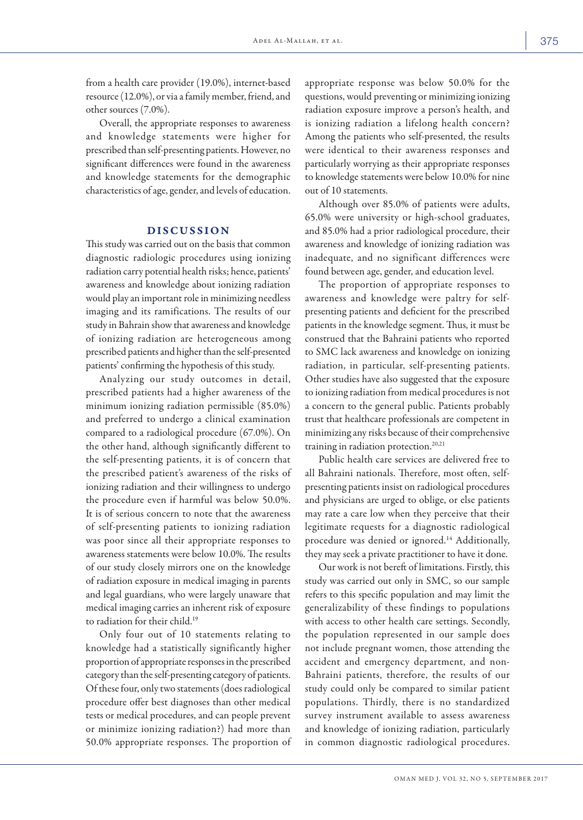from a health care provider (19.0%), internet-based resource (12.0%), or via a family member, friend, and other sources (7.0%).

Overall, the appropriate responses to awareness and knowledge statements were higher for prescribed than self-presenting patients. However, no significant differences were found in the awareness and knowledge statements for the demographic characteristics of age, gender, and levels of education.

# DISCUSSION

This study was carried out on the basis that common diagnostic radiologic procedures using ionizing radiation carry potential health risks; hence, patients' awareness and knowledge about ionizing radiation would play an important role in minimizing needless imaging and its ramifications. The results of our study in Bahrain show that awareness and knowledge of ionizing radiation are heterogeneous among prescribed patients and higher than the self-presented patients' confirming the hypothesis of this study.

Analyzing our study outcomes in detail, prescribed patients had a higher awareness of the minimum ionizing radiation permissible (85.0%) and preferred to undergo a clinical examination compared to a radiological procedure (67.0%). On the other hand, although significantly different to the self-presenting patients, it is of concern that the prescribed patient's awareness of the risks of ionizing radiation and their willingness to undergo the procedure even if harmful was below 50.0%. It is of serious concern to note that the awareness of self-presenting patients to ionizing radiation was poor since all their appropriate responses to awareness statements were below 10.0%. The results of our study closely mirrors one on the knowledge of radiation exposure in medical imaging in parents and legal guardians, who were largely unaware that medical imaging carries an inherent risk of exposure to radiation for their child.19

Only four out of 10 statements relating to knowledge had a statistically significantly higher proportion of appropriate responses in the prescribed category than the self-presenting category of patients. Of these four, only two statements (does radiological procedure offer best diagnoses than other medical tests or medical procedures, and can people prevent or minimize ionizing radiation?) had more than 50.0% appropriate responses. The proportion of appropriate response was below 50.0% for the questions, would preventing or minimizing ionizing radiation exposure improve a person's health, and is ionizing radiation a lifelong health concern? Among the patients who self-presented, the results were identical to their awareness responses and particularly worrying as their appropriate responses to knowledge statements were below 10.0% for nine out of 10 statements.

Although over 85.0% of patients were adults, 65.0% were university or high-school graduates, and 85.0% had a prior radiological procedure, their awareness and knowledge of ionizing radiation was inadequate, and no significant differences were found between age, gender, and education level.

The proportion of appropriate responses to awareness and knowledge were paltry for selfpresenting patients and deficient for the prescribed patients in the knowledge segment. Thus, it must be construed that the Bahraini patients who reported to SMC lack awareness and knowledge on ionizing radiation, in particular, self-presenting patients. Other studies have also suggested that the exposure to ionizing radiation from medical procedures is not a concern to the general public. Patients probably trust that healthcare professionals are competent in minimizing any risks because of their comprehensive training in radiation protection.<sup>20,21</sup>

Public health care services are delivered free to all Bahraini nationals. Therefore, most often, selfpresenting patients insist on radiological procedures and physicians are urged to oblige, or else patients may rate a care low when they perceive that their legitimate requests for a diagnostic radiological procedure was denied or ignored.14 Additionally, they may seek a private practitioner to have it done.

Our work is not bereft of limitations. Firstly, this study was carried out only in SMC, so our sample refers to this specific population and may limit the generalizability of these findings to populations with access to other health care settings. Secondly, the population represented in our sample does not include pregnant women, those attending the accident and emergency department, and non-Bahraini patients, therefore, the results of our study could only be compared to similar patient populations. Thirdly, there is no standardized survey instrument available to assess awareness and knowledge of ionizing radiation, particularly in common diagnostic radiological procedures.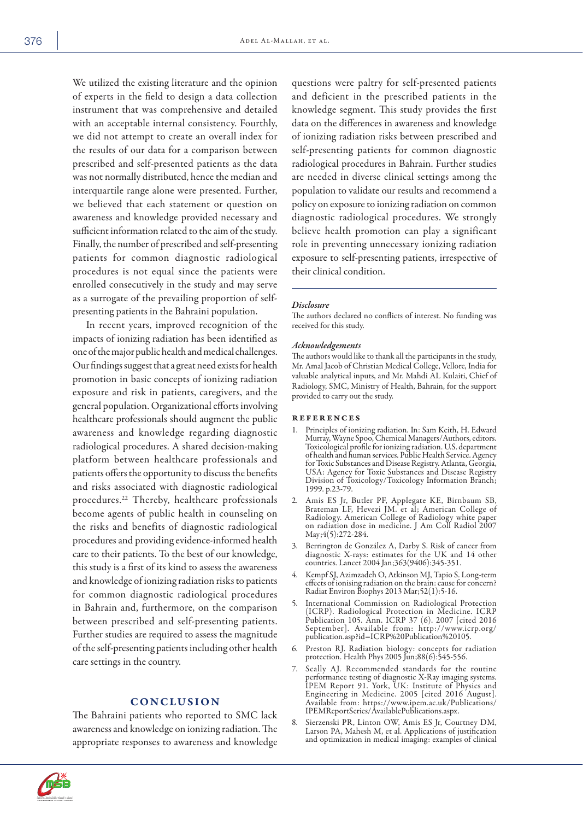We utilized the existing literature and the opinion of experts in the field to design a data collection instrument that was comprehensive and detailed with an acceptable internal consistency. Fourthly, we did not attempt to create an overall index for the results of our data for a comparison between prescribed and self-presented patients as the data was not normally distributed, hence the median and interquartile range alone were presented. Further, we believed that each statement or question on awareness and knowledge provided necessary and sufficient information related to the aim of the study. Finally, the number of prescribed and self-presenting patients for common diagnostic radiological procedures is not equal since the patients were enrolled consecutively in the study and may serve as a surrogate of the prevailing proportion of selfpresenting patients in the Bahraini population.

In recent years, improved recognition of the impacts of ionizing radiation has been identified as one of the major public health and medical challenges. Our findings suggest that a great need exists for health promotion in basic concepts of ionizing radiation exposure and risk in patients, caregivers, and the general population. Organizational efforts involving healthcare professionals should augment the public awareness and knowledge regarding diagnostic radiological procedures. A shared decision-making platform between healthcare professionals and patients offers the opportunity to discuss the benefits and risks associated with diagnostic radiological procedures.22 Thereby, healthcare professionals become agents of public health in counseling on the risks and benefits of diagnostic radiological procedures and providing evidence-informed health care to their patients. To the best of our knowledge, this study is a first of its kind to assess the awareness and knowledge of ionizing radiation risks to patients for common diagnostic radiological procedures in Bahrain and, furthermore, on the comparison between prescribed and self-presenting patients. Further studies are required to assess the magnitude of the self-presenting patients including other health care settings in the country.

# **CONCLUSION**

The Bahraini patients who reported to SMC lack awareness and knowledge on ionizing radiation. The appropriate responses to awareness and knowledge questions were paltry for self-presented patients and deficient in the prescribed patients in the knowledge segment. This study provides the first data on the differences in awareness and knowledge of ionizing radiation risks between prescribed and self-presenting patients for common diagnostic radiological procedures in Bahrain. Further studies are needed in diverse clinical settings among the population to validate our results and recommend a policy on exposure to ionizing radiation on common diagnostic radiological procedures. We strongly believe health promotion can play a significant role in preventing unnecessary ionizing radiation exposure to self-presenting patients, irrespective of their clinical condition.

### *Disclosure*

The authors declared no conflicts of interest. No funding was received for this study.

#### *Acknowledgements*

The authors would like to thank all the participants in the study, Mr. Amal Jacob of Christian Medical College, Vellore, India for valuable analytical inputs, and Mr. Mahdi AL Kulaiti, Chief of Radiology, SMC, Ministry of Health, Bahrain, for the support provided to carry out the study.

## references

- 1. Principles of ionizing radiation. In: Sam Keith, H. Edward Murray, Wayne Spoo, Chemical Managers/Authors, editors. Toxicological profile for ionizing radiation. U.S. department of health and human services. Public Health Service. Agency for Toxic Substances and Disease Registry. Atlanta, Georgia, USA: Agency for Toxic Substances and Disease Registry Division of Toxicology/Toxicology Information Branch; 1999. p.23-79.
- 2. Amis ES Jr, Butler PF, Applegate KE, Birnbaum SB, Brateman LF, Hevezi JM. et al; American College of Radiology. American College of Radiology white paper on radiation dose in medicine. J Am Coll Radiol 2007 May;4(5):272-284.
- 3. Berrington de González A, Darby S. Risk of cancer from diagnostic X-rays: estimates for the UK and 14 other countries. Lancet 2004 Jan;363(9406):345-351.
- 4. Kempf SJ, Azimzadeh O, Atkinson MJ, Tapio S. Long-term effects of ionising radiation on the brain: cause for concern? Radiat Environ Biophys 2013 Mar;52(1):5-16.
- International Commission on Radiological Protection (ICRP). Radiological Protection in Medicine. ICRP Publication 105. Ann. ICRP 37 (6). 2007 [cited 2016 September]. Available from: http://www.icrp.org/ publication.asp?id=ICRP%20Publication%20105.
- 6. Preston RJ. Radiation biology: concepts for radiation protection. Health Phys 2005 Jun;88(6):545-556.
- 7. Scally AJ. Recommended standards for the routine performance testing of diagnostic X-Ray imaging systems. IPEM Report 91. York, UK: Institute of Physics and Engineering in Medicine. 2005 [cited 2016 August]. Available from: https://www.ipem.ac.uk/Publications/ IPEMReportSeries/AvailablePublications.aspx.
- 8. Sierzenski PR, Linton OW, Amis ES Jr, Courtney DM, Larson PA, Mahesh M, et al. Applications of justification and optimization in medical imaging: examples of clinical